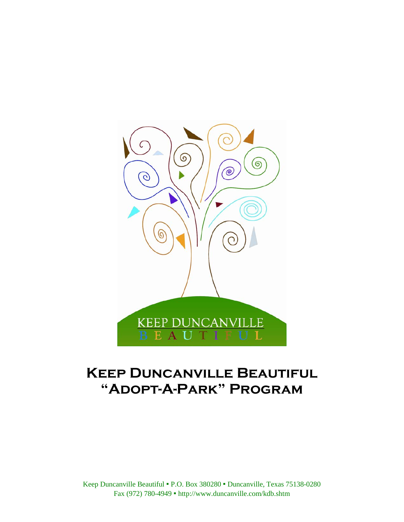

# **Keep Duncanville Beautiful "Adopt-A-Park" Program**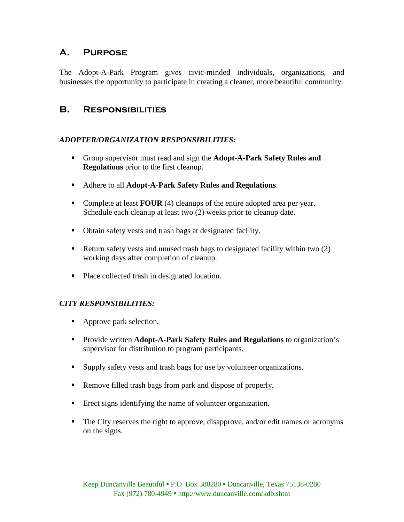## **A. Purpose**

The Adopt-A-Park Program gives civic-minded individuals, organizations, and businesses the opportunity to participate in creating a cleaner, more beautiful community.

## **B. Responsibilities**

## *ADOPTER/ORGANIZATION RESPONSIBILITIES:*

- Group supervisor must read and sign the **Adopt-A-Park Safety Rules and Regulations** prior to the first cleanup.
- Adhere to all **Adopt-A-Park Safety Rules and Regulations**.
- Complete at least **FOUR** (4) cleanups of the entire adopted area per year. Schedule each cleanup at least two (2) weeks prior to cleanup date.
- Obtain safety vests and trash bags at designated facility.
- Return safety vests and unused trash bags to designated facility within two  $(2)$ working days after completion of cleanup.
- Place collected trash in designated location.

### *CITY RESPONSIBILITIES:*

- Approve park selection.
- **Provide written Adopt-A-Park Safety Rules and Regulations** to organization's supervisor for distribution to program participants.
- Supply safety vests and trash bags for use by volunteer organizations.
- Remove filled trash bags from park and dispose of properly.
- Erect signs identifying the name of volunteer organization.
- The City reserves the right to approve, disapprove, and/or edit names or acronyms on the signs.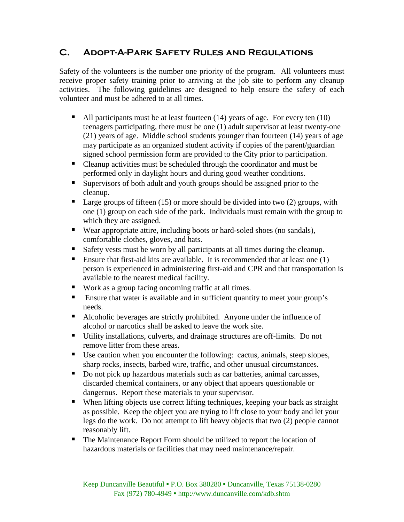## **C. Adopt-A-Park Safety Rules and Regulations**

Safety of the volunteers is the number one priority of the program. All volunteers must receive proper safety training prior to arriving at the job site to perform any cleanup activities. The following guidelines are designed to help ensure the safety of each volunteer and must be adhered to at all times.

- All participants must be at least fourteen  $(14)$  years of age. For every ten  $(10)$ teenagers participating, there must be one (1) adult supervisor at least twenty-one (21) years of age. Middle school students younger than fourteen (14) years of age may participate as an organized student activity if copies of the parent/guardian signed school permission form are provided to the City prior to participation.
- Cleanup activities must be scheduled through the coordinator and must be performed only in daylight hours and during good weather conditions.
- Supervisors of both adult and youth groups should be assigned prior to the cleanup.
- Large groups of fifteen (15) or more should be divided into two (2) groups, with one (1) group on each side of the park. Individuals must remain with the group to which they are assigned.
- Wear appropriate attire, including boots or hard-soled shoes (no sandals), comfortable clothes, gloves, and hats.
- Safety vests must be worn by all participants at all times during the cleanup.
- **Ensure that first-aid kits are available.** It is recommended that at least one  $(1)$ person is experienced in administering first-aid and CPR and that transportation is available to the nearest medical facility.
- Work as a group facing oncoming traffic at all times.
- **Ensure that water is available and in sufficient quantity to meet your group's** needs.
- Alcoholic beverages are strictly prohibited. Anyone under the influence of alcohol or narcotics shall be asked to leave the work site.
- Utility installations, culverts, and drainage structures are off-limits. Do not remove litter from these areas.
- Use caution when you encounter the following: cactus, animals, steep slopes, sharp rocks, insects, barbed wire, traffic, and other unusual circumstances.
- Do not pick up hazardous materials such as car batteries, animal carcasses, discarded chemical containers, or any object that appears questionable or dangerous. Report these materials to your supervisor.
- When lifting objects use correct lifting techniques, keeping your back as straight as possible. Keep the object you are trying to lift close to your body and let your legs do the work. Do not attempt to lift heavy objects that two (2) people cannot reasonably lift.
- The Maintenance Report Form should be utilized to report the location of hazardous materials or facilities that may need maintenance/repair.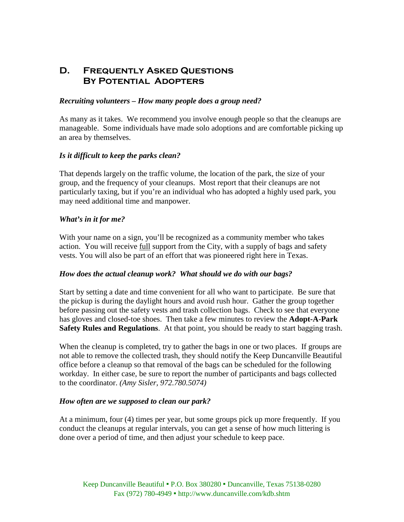## **D. Frequently Asked Questions By Potential Adopters**

#### *Recruiting volunteers – How many people does a group need?*

As many as it takes. We recommend you involve enough people so that the cleanups are manageable. Some individuals have made solo adoptions and are comfortable picking up an area by themselves.

### *Is it difficult to keep the parks clean?*

That depends largely on the traffic volume, the location of the park, the size of your group, and the frequency of your cleanups. Most report that their cleanups are not particularly taxing, but if you're an individual who has adopted a highly used park, you may need additional time and manpower.

### *What's in it for me?*

With your name on a sign, you'll be recognized as a community member who takes action. You will receive <u>full</u> support from the City, with a supply of bags and safety vests. You will also be part of an effort that was pioneered right here in Texas.

### *How does the actual cleanup work? What should we do with our bags?*

Start by setting a date and time convenient for all who want to participate. Be sure that the pickup is during the daylight hours and avoid rush hour. Gather the group together before passing out the safety vests and trash collection bags. Check to see that everyone has gloves and closed-toe shoes. Then take a few minutes to review the **Adopt-A-Park Safety Rules and Regulations**. At that point, you should be ready to start bagging trash.

When the cleanup is completed, try to gather the bags in one or two places. If groups are not able to remove the collected trash, they should notify the Keep Duncanville Beautiful office before a cleanup so that removal of the bags can be scheduled for the following workday. In either case, be sure to report the number of participants and bags collected to the coordinator. *(Amy Sisler, 972.780.5074)*

### *How often are we supposed to clean our park?*

At a minimum, four (4) times per year, but some groups pick up more frequently. If you conduct the cleanups at regular intervals, you can get a sense of how much littering is done over a period of time, and then adjust your schedule to keep pace.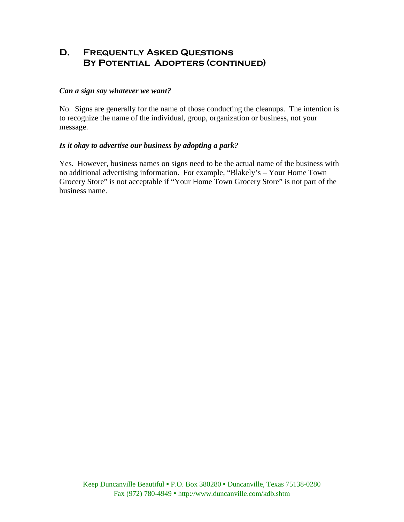## **D. Frequently Asked Questions By Potential Adopters (continued)**

### *Can a sign say whatever we want?*

No. Signs are generally for the name of those conducting the cleanups. The intention is to recognize the name of the individual, group, organization or business, not your message.

### *Is it okay to advertise our business by adopting a park?*

Yes. However, business names on signs need to be the actual name of the business with no additional advertising information. For example, "Blakely's – Your Home Town Grocery Store" is not acceptable if "Your Home Town Grocery Store" is not part of the business name.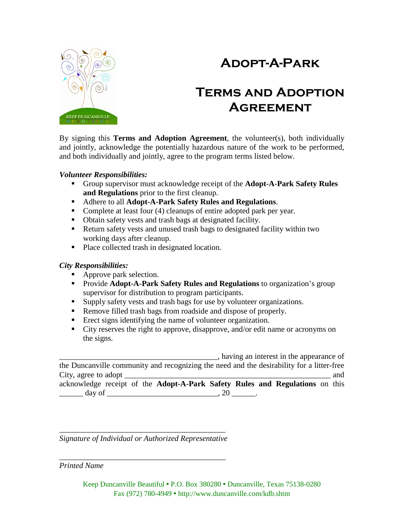## **Adopt-A-Park**



## **Terms and Adoption Agreement**

By signing this **Terms and Adoption Agreement**, the volunteer(s), both individually and jointly, acknowledge the potentially hazardous nature of the work to be performed, and both individually and jointly, agree to the program terms listed below.

### *Volunteer Responsibilities:*

- Group supervisor must acknowledge receipt of the **Adopt-A-Park Safety Rules and Regulations** prior to the first cleanup.
- Adhere to all **Adopt-A-Park Safety Rules and Regulations**.
- Complete at least four (4) cleanups of entire adopted park per year.
- Obtain safety vests and trash bags at designated facility.
- Return safety vests and unused trash bags to designated facility within two working days after cleanup.
- Place collected trash in designated location.

### *City Responsibilities:*

- Approve park selection.
- **Provide Adopt-A-Park Safety Rules and Regulations** to organization's group supervisor for distribution to program participants.
- Supply safety vests and trash bags for use by volunteer organizations.
- Remove filled trash bags from roadside and dispose of properly.
- Erect signs identifying the name of volunteer organization.
- City reserves the right to approve, disapprove, and/or edit name or acronyms on the signs.

\_\_\_\_\_\_\_\_\_\_\_\_\_\_\_\_\_\_\_\_\_\_\_\_\_\_\_\_\_\_\_\_\_\_\_\_\_\_\_\_, having an interest in the appearance of the Duncanville community and recognizing the need and the desirability for a litter-free City, agree to adopt  $\Box$ acknowledge receipt of the **Adopt-A-Park Safety Rules and Regulations** on this \_\_\_\_\_\_ day of \_\_\_\_\_\_\_\_\_\_\_\_\_\_\_\_\_\_\_\_\_\_\_\_\_\_\_\_, 20 \_\_\_\_\_\_.

\_\_\_\_\_\_\_\_\_\_\_\_\_\_\_\_\_\_\_\_\_\_\_\_\_\_\_\_\_\_\_\_\_\_\_\_\_\_\_\_\_\_ *Signature of Individual or Authorized Representative*

\_\_\_\_\_\_\_\_\_\_\_\_\_\_\_\_\_\_\_\_\_\_\_\_\_\_\_\_\_\_\_\_\_\_\_\_\_\_\_\_\_\_ *Printed Name*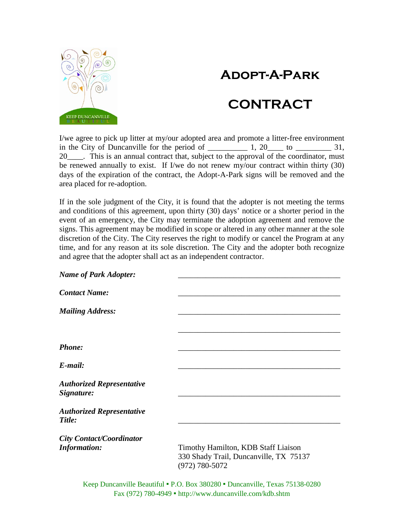## **Adopt-A-Park**





I/we agree to pick up litter at my/our adopted area and promote a litter-free environment in the City of Duncanville for the period of  $\frac{1}{\sqrt{1-\frac{1}{2}}}\left(1, \frac{20}{\sqrt{1-\frac{1}{2}}}\right)$  to  $\frac{31}{\sqrt{1-\frac{1}{2}}}\left(1, \frac{20}{\sqrt{1-\frac{1}{2}}}\right)$ 20\_\_\_\_. This is an annual contract that, subject to the approval of the coordinator, must be renewed annually to exist. If I/we do not renew my/our contract within thirty (30) days of the expiration of the contract, the Adopt-A-Park signs will be removed and the area placed for re-adoption.

If in the sole judgment of the City, it is found that the adopter is not meeting the terms and conditions of this agreement, upon thirty (30) days' notice or a shorter period in the event of an emergency, the City may terminate the adoption agreement and remove the signs. This agreement may be modified in scope or altered in any other manner at the sole discretion of the City. The City reserves the right to modify or cancel the Program at any time, and for any reason at its sole discretion. The City and the adopter both recognize and agree that the adopter shall act as an independent contractor.

| <b>Name of Park Adopter:</b>                           |                                                                                                 |
|--------------------------------------------------------|-------------------------------------------------------------------------------------------------|
| <b>Contact Name:</b>                                   |                                                                                                 |
| <b>Mailing Address:</b>                                |                                                                                                 |
|                                                        |                                                                                                 |
| <b>Phone:</b>                                          |                                                                                                 |
| $E$ -mail:                                             |                                                                                                 |
| <b>Authorized Representative</b><br>Signature:         |                                                                                                 |
| <b>Authorized Representative</b><br>Title:             |                                                                                                 |
| <b>City Contact/Coordinator</b><br><b>Information:</b> | Timothy Hamilton, KDB Staff Liaison<br>330 Shady Trail, Duncanville, TX 75137<br>(972) 780-5072 |